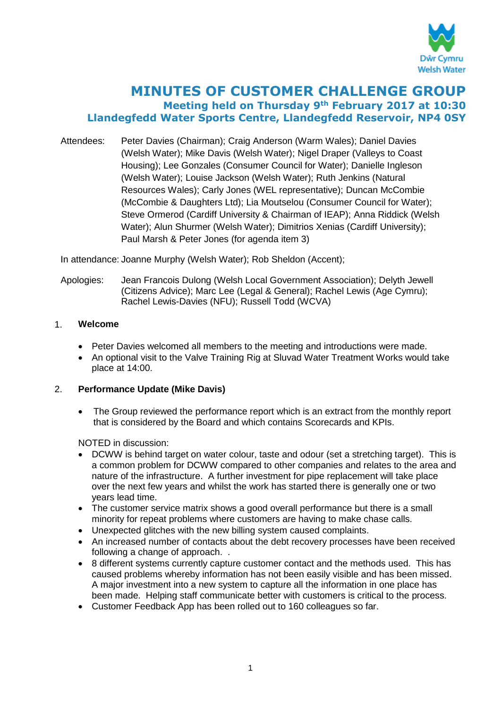

# **MINUTES OF CUSTOMER CHALLENGE GROUP Meeting held on Thursday 9th February 2017 at 10:30 Llandegfedd Water Sports Centre, Llandegfedd Reservoir, NP4 0SY**

Attendees: Peter Davies (Chairman); Craig Anderson (Warm Wales); Daniel Davies (Welsh Water); Mike Davis (Welsh Water); Nigel Draper (Valleys to Coast Housing); Lee Gonzales (Consumer Council for Water); Danielle Ingleson (Welsh Water); Louise Jackson (Welsh Water); Ruth Jenkins (Natural Resources Wales); Carly Jones (WEL representative); Duncan McCombie (McCombie & Daughters Ltd); Lia Moutselou (Consumer Council for Water); Steve Ormerod (Cardiff University & Chairman of IEAP); Anna Riddick (Welsh Water); Alun Shurmer (Welsh Water); Dimitrios Xenias (Cardiff University); Paul Marsh & Peter Jones (for agenda item 3)

In attendance: Joanne Murphy (Welsh Water); Rob Sheldon (Accent);

Apologies: Jean Francois Dulong (Welsh Local Government Association); Delyth Jewell (Citizens Advice); Marc Lee (Legal & General); Rachel Lewis (Age Cymru); Rachel Lewis-Davies (NFU); Russell Todd (WCVA)

## 1. **Welcome**

- Peter Davies welcomed all members to the meeting and introductions were made.
- An optional visit to the Valve Training Rig at Sluvad Water Treatment Works would take place at 14:00.

#### 2. **Performance Update (Mike Davis)**

• The Group reviewed the performance report which is an extract from the monthly report that is considered by the Board and which contains Scorecards and KPIs.

NOTED in discussion:

- DCWW is behind target on water colour, taste and odour (set a stretching target). This is a common problem for DCWW compared to other companies and relates to the area and nature of the infrastructure. A further investment for pipe replacement will take place over the next few years and whilst the work has started there is generally one or two years lead time.
- The customer service matrix shows a good overall performance but there is a small minority for repeat problems where customers are having to make chase calls.
- Unexpected glitches with the new billing system caused complaints.
- An increased number of contacts about the debt recovery processes have been received following a change of approach. .
- 8 different systems currently capture customer contact and the methods used. This has caused problems whereby information has not been easily visible and has been missed. A major investment into a new system to capture all the information in one place has been made. Helping staff communicate better with customers is critical to the process.
- Customer Feedback App has been rolled out to 160 colleagues so far.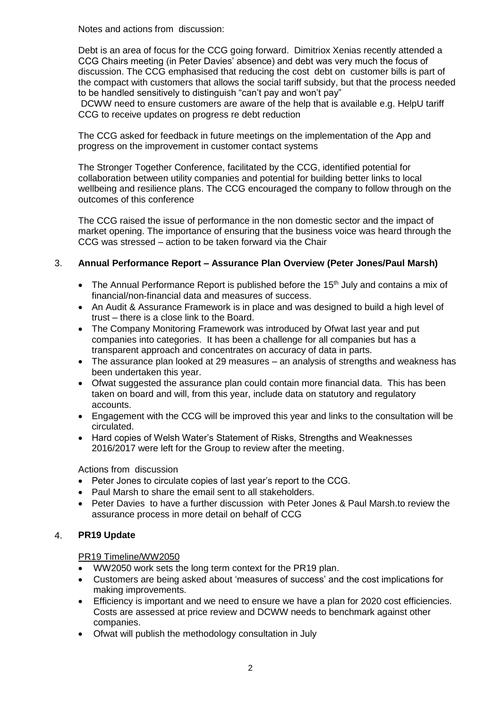Notes and actions from discussion:

Debt is an area of focus for the CCG going forward. Dimitriox Xenias recently attended a CCG Chairs meeting (in Peter Davies' absence) and debt was very much the focus of discussion. The CCG emphasised that reducing the cost debt on customer bills is part of the compact with customers that allows the social tariff subsidy, but that the process needed to be handled sensitively to distinguish "can't pay and won't pay"

DCWW need to ensure customers are aware of the help that is available e.g. HelpU tariff CCG to receive updates on progress re debt reduction

The CCG asked for feedback in future meetings on the implementation of the App and progress on the improvement in customer contact systems

The Stronger Together Conference, facilitated by the CCG, identified potential for collaboration between utility companies and potential for building better links to local wellbeing and resilience plans. The CCG encouraged the company to follow through on the outcomes of this conference

The CCG raised the issue of performance in the non domestic sector and the impact of market opening. The importance of ensuring that the business voice was heard through the CCG was stressed – action to be taken forward via the Chair

## 3. **Annual Performance Report – Assurance Plan Overview (Peter Jones/Paul Marsh)**

- The Annual Performance Report is published before the 15<sup>th</sup> July and contains a mix of financial/non-financial data and measures of success.
- An Audit & Assurance Framework is in place and was designed to build a high level of trust – there is a close link to the Board.
- The Company Monitoring Framework was introduced by Ofwat last year and put companies into categories. It has been a challenge for all companies but has a transparent approach and concentrates on accuracy of data in parts.
- The assurance plan looked at 29 measures an analysis of strengths and weakness has been undertaken this year.
- Ofwat suggested the assurance plan could contain more financial data. This has been taken on board and will, from this year, include data on statutory and regulatory accounts.
- Engagement with the CCG will be improved this year and links to the consultation will be circulated.
- Hard copies of Welsh Water's Statement of Risks, Strengths and Weaknesses 2016/2017 were left for the Group to review after the meeting.

Actions from discussion

- Peter Jones to circulate copies of last year's report to the CCG.
- Paul Marsh to share the email sent to all stakeholders.
- Peter Davies to have a further discussion with Peter Jones & Paul Marsh.to review the assurance process in more detail on behalf of CCG

# 4. **PR19 Update**

#### PR19 Timeline/WW2050

- WW2050 work sets the long term context for the PR19 plan.
- Customers are being asked about 'measures of success' and the cost implications for making improvements.
- Efficiency is important and we need to ensure we have a plan for 2020 cost efficiencies. Costs are assessed at price review and DCWW needs to benchmark against other companies.
- Ofwat will publish the methodology consultation in July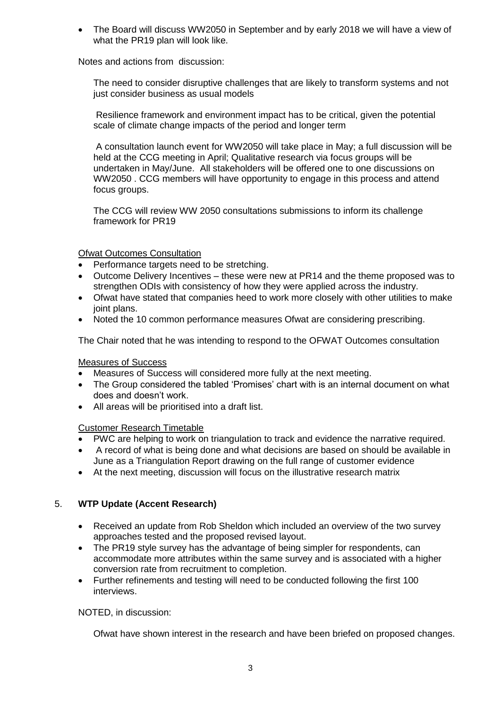The Board will discuss WW2050 in September and by early 2018 we will have a view of what the PR19 plan will look like.

Notes and actions from discussion:

The need to consider disruptive challenges that are likely to transform systems and not just consider business as usual models

Resilience framework and environment impact has to be critical, given the potential scale of climate change impacts of the period and longer term

A consultation launch event for WW2050 will take place in May; a full discussion will be held at the CCG meeting in April; Qualitative research via focus groups will be undertaken in May/June. All stakeholders will be offered one to one discussions on WW2050 . CCG members will have opportunity to engage in this process and attend focus groups.

The CCG will review WW 2050 consultations submissions to inform its challenge framework for PR19

Ofwat Outcomes Consultation

- Performance targets need to be stretching.
- Outcome Delivery Incentives these were new at PR14 and the theme proposed was to strengthen ODIs with consistency of how they were applied across the industry.
- Ofwat have stated that companies heed to work more closely with other utilities to make joint plans.
- Noted the 10 common performance measures Ofwat are considering prescribing.

The Chair noted that he was intending to respond to the OFWAT Outcomes consultation

#### Measures of Success

- Measures of Success will considered more fully at the next meeting.
- The Group considered the tabled 'Promises' chart with is an internal document on what does and doesn't work.
- All areas will be prioritised into a draft list.

Customer Research Timetable

- PWC are helping to work on triangulation to track and evidence the narrative required.
- A record of what is being done and what decisions are based on should be available in June as a Triangulation Report drawing on the full range of customer evidence
- At the next meeting, discussion will focus on the illustrative research matrix

# 5. **WTP Update (Accent Research)**

- Received an update from Rob Sheldon which included an overview of the two survey approaches tested and the proposed revised layout.
- The PR19 style survey has the advantage of being simpler for respondents, can accommodate more attributes within the same survey and is associated with a higher conversion rate from recruitment to completion.
- Further refinements and testing will need to be conducted following the first 100 interviews.

NOTED, in discussion:

Ofwat have shown interest in the research and have been briefed on proposed changes.